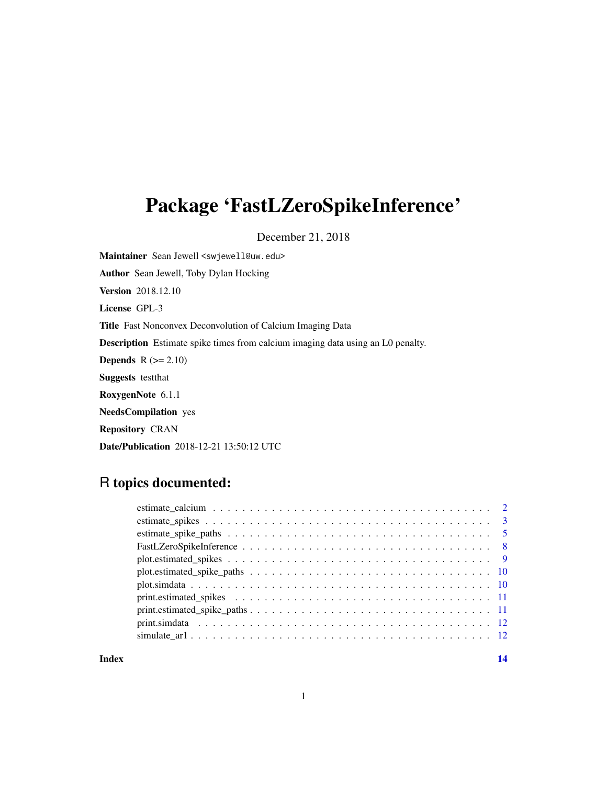## Package 'FastLZeroSpikeInference'

December 21, 2018

Maintainer Sean Jewell <swjewell@uw.edu> Author Sean Jewell, Toby Dylan Hocking Version 2018.12.10 License GPL-3 Title Fast Nonconvex Deconvolution of Calcium Imaging Data Description Estimate spike times from calcium imaging data using an L0 penalty. **Depends**  $R$  ( $>= 2.10$ ) Suggests testthat RoxygenNote 6.1.1 NeedsCompilation yes Repository CRAN

Date/Publication 2018-12-21 13:50:12 UTC

## R topics documented:

**Index** 2008 **[14](#page-13-0)**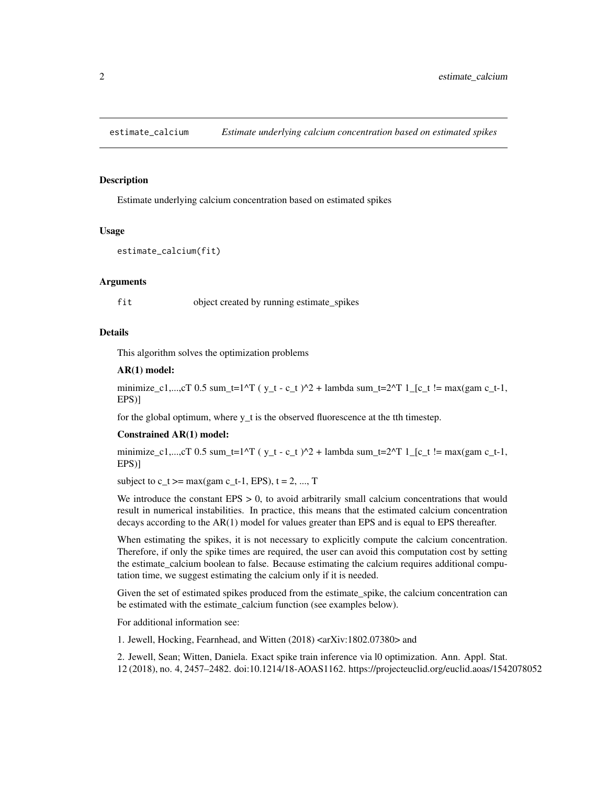<span id="page-1-1"></span><span id="page-1-0"></span>

## Description

Estimate underlying calcium concentration based on estimated spikes

#### Usage

```
estimate_calcium(fit)
```
#### Arguments

fit object created by running estimate\_spikes

## Details

This algorithm solves the optimization problems

#### AR(1) model:

minimize\_c1,...,cT 0.5 sum\_t=1^T ( y\_t - c\_t )^2 + lambda sum\_t=2^T 1\_[c\_t != max(gam c\_t-1, EPS)]

for the global optimum, where  $y_t$  is the observed fluorescence at the tth timestep.

#### Constrained AR(1) model:

minimize\_c1,...,cT 0.5 sum\_t=1^T ( $y_t - c_t$ )^2 + lambda sum\_t=2^T 1\_[c\_t != max(gam c\_t-1, EPS)]

subject to  $c_t$  >= max(gam  $c_t$ -1, EPS),  $t = 2, ..., T$ 

We introduce the constant  $EPS > 0$ , to avoid arbitrarily small calcium concentrations that would result in numerical instabilities. In practice, this means that the estimated calcium concentration decays according to the AR(1) model for values greater than EPS and is equal to EPS thereafter.

When estimating the spikes, it is not necessary to explicitly compute the calcium concentration. Therefore, if only the spike times are required, the user can avoid this computation cost by setting the estimate\_calcium boolean to false. Because estimating the calcium requires additional computation time, we suggest estimating the calcium only if it is needed.

Given the set of estimated spikes produced from the estimate\_spike, the calcium concentration can be estimated with the estimate\_calcium function (see examples below).

For additional information see:

1. Jewell, Hocking, Fearnhead, and Witten (2018) <arXiv:1802.07380> and

2. Jewell, Sean; Witten, Daniela. Exact spike train inference via l0 optimization. Ann. Appl. Stat. 12 (2018), no. 4, 2457–2482. doi:10.1214/18-AOAS1162. https://projecteuclid.org/euclid.aoas/1542078052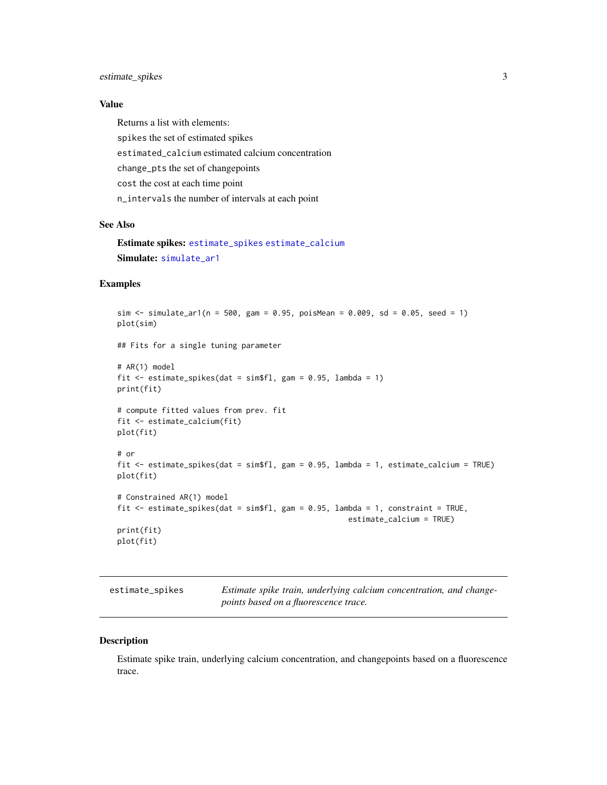## <span id="page-2-0"></span>estimate\_spikes 3

## Value

Returns a list with elements: spikes the set of estimated spikes estimated\_calcium estimated calcium concentration change\_pts the set of changepoints cost the cost at each time point n\_intervals the number of intervals at each point

#### See Also

Estimate spikes: [estimate\\_spikes](#page-2-1) [estimate\\_calcium](#page-1-1) Simulate: [simulate\\_ar1](#page-11-1)

## Examples

```
sim \le simulate_ar1(n = 500, gam = 0.95, poisMean = 0.009, sd = 0.05, seed = 1)
plot(sim)
## Fits for a single tuning parameter
# AR(1) model
fit \le estimate_spikes(dat = sim$fl, gam = 0.95, lambda = 1)
print(fit)
# compute fitted values from prev. fit
fit <- estimate_calcium(fit)
plot(fit)
# or
fit <- estimate_spikes(dat = sim$fl, gam = 0.95, lambda = 1, estimate_calcium = TRUE)
plot(fit)
# Constrained AR(1) model
fit <- estimate_spikes(dat = sim$fl, gam = 0.95, lambda = 1, constraint = TRUE,
                                                    estimate_calcium = TRUE)
print(fit)
plot(fit)
```
<span id="page-2-1"></span>estimate\_spikes *Estimate spike train, underlying calcium concentration, and changepoints based on a fluorescence trace.*

## Description

Estimate spike train, underlying calcium concentration, and changepoints based on a fluorescence trace.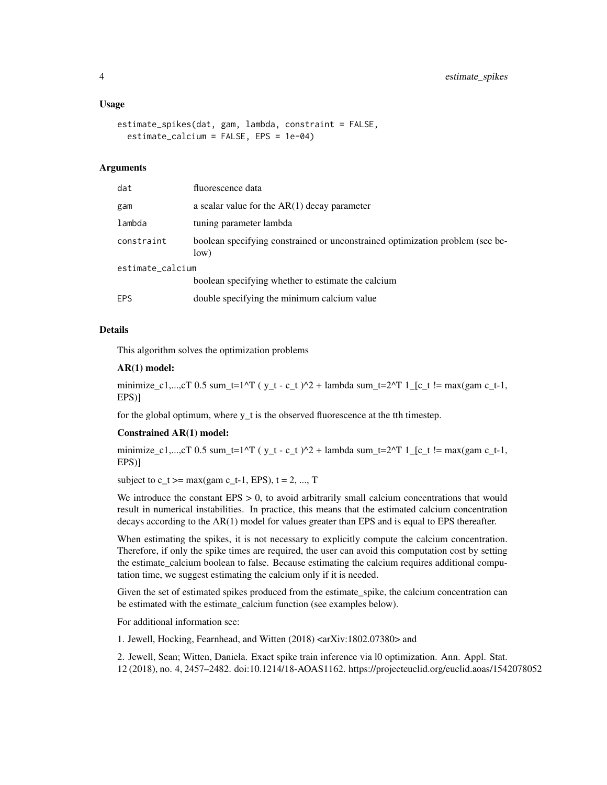#### Usage

```
estimate_spikes(dat, gam, lambda, constraint = FALSE,
  estimate_calcium = FALSE, EPS = 1e-04)
```
#### Arguments

| dat              | fluorescence data                                                                     |
|------------------|---------------------------------------------------------------------------------------|
| gam              | a scalar value for the $AR(1)$ decay parameter                                        |
| lambda           | tuning parameter lambda                                                               |
| constraint       | boolean specifying constrained or unconstrained optimization problem (see be-<br>low) |
| estimate_calcium |                                                                                       |
|                  | boolean specifying whether to estimate the calcium                                    |
| <b>EPS</b>       | double specifying the minimum calcium value                                           |

#### Details

This algorithm solves the optimization problems

#### AR(1) model:

minimize\_c1,...,cT 0.5 sum\_t=1^T ( $y_t - c_t$ )^2 + lambda sum\_t=2^T 1\_[c\_t != max(gam c\_t-1, EPS)]

for the global optimum, where y\_t is the observed fluorescence at the tth timestep.

#### Constrained AR(1) model:

minimize\_c1,...,cT 0.5 sum\_t=1^T ( $y_t - c_t$ )^2 + lambda sum\_t=2^T 1\_[c\_t != max(gam c\_t-1, EPS)]

subject to  $c_t$  >= max(gam  $c_t$ -1, EPS),  $t = 2, ..., T$ 

We introduce the constant  $EPS > 0$ , to avoid arbitrarily small calcium concentrations that would result in numerical instabilities. In practice, this means that the estimated calcium concentration decays according to the AR(1) model for values greater than EPS and is equal to EPS thereafter.

When estimating the spikes, it is not necessary to explicitly compute the calcium concentration. Therefore, if only the spike times are required, the user can avoid this computation cost by setting the estimate calcium boolean to false. Because estimating the calcium requires additional computation time, we suggest estimating the calcium only if it is needed.

Given the set of estimated spikes produced from the estimate\_spike, the calcium concentration can be estimated with the estimate\_calcium function (see examples below).

For additional information see:

1. Jewell, Hocking, Fearnhead, and Witten (2018) <arXiv:1802.07380> and

2. Jewell, Sean; Witten, Daniela. Exact spike train inference via l0 optimization. Ann. Appl. Stat. 12 (2018), no. 4, 2457–2482. doi:10.1214/18-AOAS1162. https://projecteuclid.org/euclid.aoas/1542078052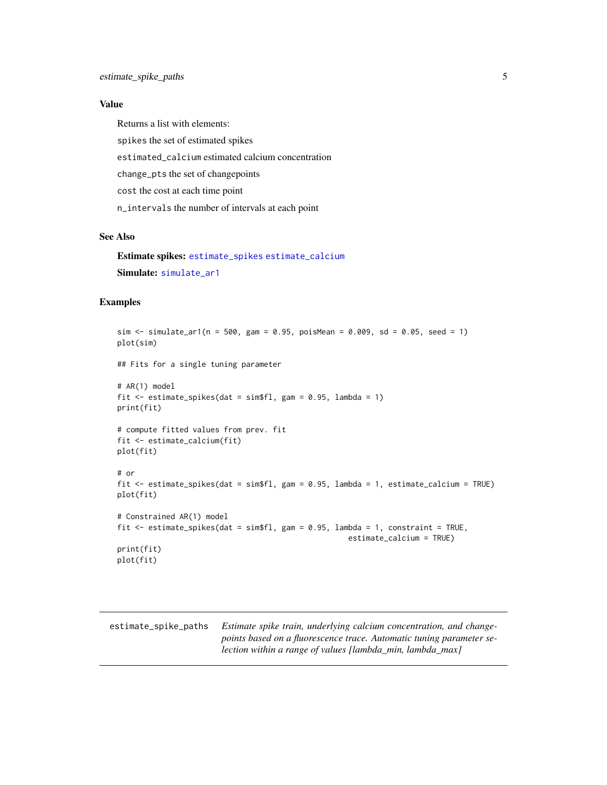## <span id="page-4-0"></span>Value

Returns a list with elements: spikes the set of estimated spikes estimated\_calcium estimated calcium concentration change\_pts the set of changepoints cost the cost at each time point n\_intervals the number of intervals at each point

## See Also

Estimate spikes: [estimate\\_spikes](#page-2-1) [estimate\\_calcium](#page-1-1) Simulate: [simulate\\_ar1](#page-11-1)

## Examples

```
sim \le simulate_ar1(n = 500, gam = 0.95, poisMean = 0.009, sd = 0.05, seed = 1)
plot(sim)
## Fits for a single tuning parameter
# AR(1) model
fit \le estimate_spikes(dat = sim$fl, gam = 0.95, lambda = 1)
print(fit)
# compute fitted values from prev. fit
fit <- estimate_calcium(fit)
plot(fit)
# or
fit <- estimate_spikes(dat = sim$fl, gam = 0.95, lambda = 1, estimate_calcium = TRUE)
plot(fit)
# Constrained AR(1) model
fit \le estimate_spikes(dat = sim$fl, gam = 0.95, lambda = 1, constraint = TRUE,
                                                     estimate_calcium = TRUE)
print(fit)
plot(fit)
```
<span id="page-4-1"></span>estimate\_spike\_paths *Estimate spike train, underlying calcium concentration, and changepoints based on a fluorescence trace. Automatic tuning parameter selection within a range of values [lambda\_min, lambda\_max]*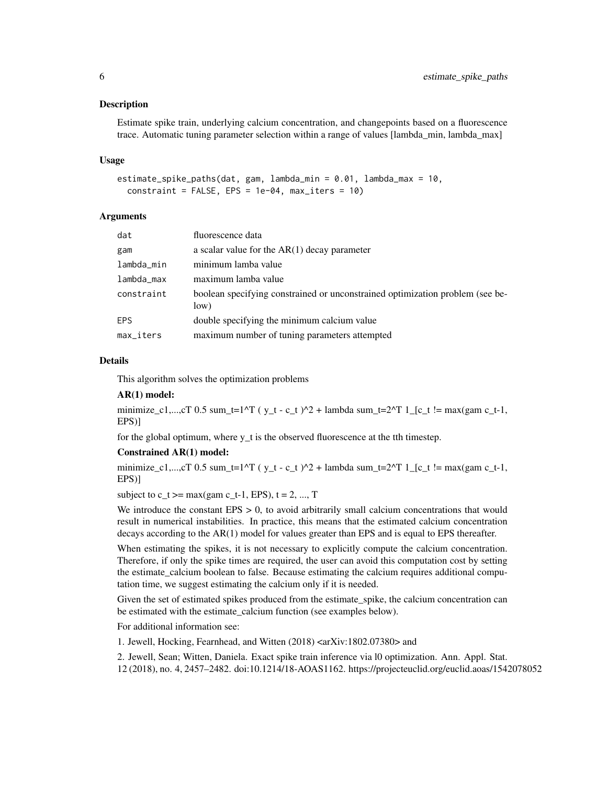#### **Description**

Estimate spike train, underlying calcium concentration, and changepoints based on a fluorescence trace. Automatic tuning parameter selection within a range of values [lambda\_min, lambda\_max]

#### Usage

```
estimate_spike_paths(dat, gam, lambda_min = 0.01, lambda_max = 10,
  constraint = FALSE, EPS = 1e-04, max\_iters = 10)
```
#### Arguments

| dat          | fluorescence data                                                                     |
|--------------|---------------------------------------------------------------------------------------|
| gam          | a scalar value for the $AR(1)$ decay parameter                                        |
| lambda_min   | minimum lamba value                                                                   |
| lambda_max   | maximum lamba value                                                                   |
| constraint   | boolean specifying constrained or unconstrained optimization problem (see be-<br>low) |
| <b>EPS</b>   | double specifying the minimum calcium value                                           |
| $max\_iters$ | maximum number of tuning parameters attempted                                         |

#### Details

This algorithm solves the optimization problems

#### AR(1) model:

minimize\_c1,...,cT 0.5 sum\_t=1^T ( y\_t - c\_t )^2 + lambda sum\_t=2^T 1\_[c\_t != max(gam c\_t-1, EPS)]

for the global optimum, where  $y_t$  is the observed fluorescence at the tth timestep.

#### Constrained AR(1) model:

minimize\_c1,...,cT 0.5 sum\_t=1^T ( $y_t - c_t$ )^2 + lambda sum\_t=2^T 1\_[c\_t != max(gam c\_t-1, EPS)]

subject to  $c_t$  >= max(gam  $c_t$ -1, EPS),  $t = 2, ..., T$ 

We introduce the constant  $EPS > 0$ , to avoid arbitrarily small calcium concentrations that would result in numerical instabilities. In practice, this means that the estimated calcium concentration decays according to the AR(1) model for values greater than EPS and is equal to EPS thereafter.

When estimating the spikes, it is not necessary to explicitly compute the calcium concentration. Therefore, if only the spike times are required, the user can avoid this computation cost by setting the estimate\_calcium boolean to false. Because estimating the calcium requires additional computation time, we suggest estimating the calcium only if it is needed.

Given the set of estimated spikes produced from the estimate\_spike, the calcium concentration can be estimated with the estimate\_calcium function (see examples below).

For additional information see:

1. Jewell, Hocking, Fearnhead, and Witten (2018) <arXiv:1802.07380> and

2. Jewell, Sean; Witten, Daniela. Exact spike train inference via l0 optimization. Ann. Appl. Stat.

12 (2018), no. 4, 2457–2482. doi:10.1214/18-AOAS1162. https://projecteuclid.org/euclid.aoas/1542078052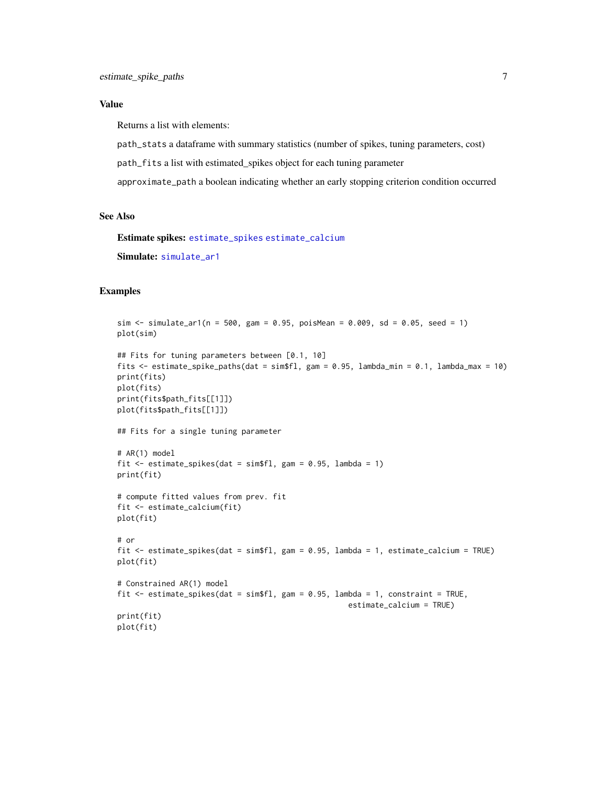#### <span id="page-6-0"></span>Value

Returns a list with elements:

path\_stats a dataframe with summary statistics (number of spikes, tuning parameters, cost)

path\_fits a list with estimated\_spikes object for each tuning parameter

approximate\_path a boolean indicating whether an early stopping criterion condition occurred

### See Also

Estimate spikes: [estimate\\_spikes](#page-2-1) [estimate\\_calcium](#page-1-1) Simulate: [simulate\\_ar1](#page-11-1)

#### Examples

```
sim \le simulate_ar1(n = 500, gam = 0.95, poisMean = 0.009, sd = 0.05, seed = 1)
plot(sim)
## Fits for tuning parameters between [0.1, 10]
fits <- estimate_spike_paths(dat = sim$fl, gam = 0.95, lambda_min = 0.1, lambda_max = 10)
print(fits)
plot(fits)
print(fits$path_fits[[1]])
plot(fits$path_fits[[1]])
## Fits for a single tuning parameter
# AR(1) model
fit \le estimate_spikes(dat = sim$fl, gam = 0.95, lambda = 1)
print(fit)
# compute fitted values from prev. fit
fit <- estimate_calcium(fit)
plot(fit)
# or
fit <- estimate_spikes(dat = sim$fl, gam = 0.95, lambda = 1, estimate_calcium = TRUE)
plot(fit)
# Constrained AR(1) model
fit <- estimate_spikes(dat = sim$fl, gam = 0.95, lambda = 1, constraint = TRUE,
                                                    estimate_calcium = TRUE)
print(fit)
plot(fit)
```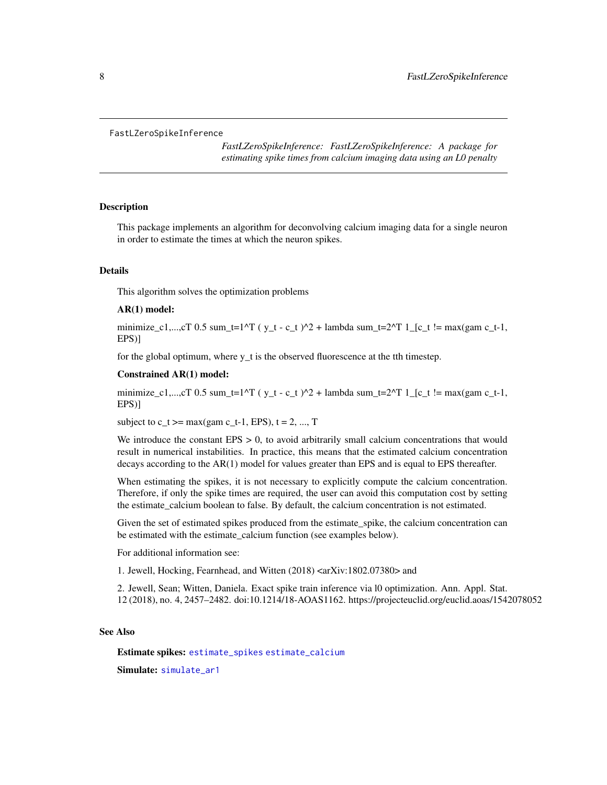#### <span id="page-7-0"></span>FastLZeroSpikeInference

*FastLZeroSpikeInference: FastLZeroSpikeInference: A package for estimating spike times from calcium imaging data using an L0 penalty*

#### Description

This package implements an algorithm for deconvolving calcium imaging data for a single neuron in order to estimate the times at which the neuron spikes.

#### Details

This algorithm solves the optimization problems

#### AR(1) model:

minimize\_c1,...,cT 0.5 sum\_t=1^T ( $y_t - c_t$ )^2 + lambda sum\_t=2^T 1\_[c\_t != max(gam c\_t-1, EPS)]

for the global optimum, where  $y_t$  is the observed fluorescence at the tth timestep.

#### Constrained AR(1) model:

minimize\_c1,...,cT 0.5 sum\_t=1^T ( y\_t - c\_t )^2 + lambda sum\_t=2^T 1\_[c\_t != max(gam c\_t-1, EPS)]

subject to  $c_t$  >= max(gam  $c_t$ -1, EPS),  $t = 2, ..., T$ 

We introduce the constant  $EPS > 0$ , to avoid arbitrarily small calcium concentrations that would result in numerical instabilities. In practice, this means that the estimated calcium concentration decays according to the AR(1) model for values greater than EPS and is equal to EPS thereafter.

When estimating the spikes, it is not necessary to explicitly compute the calcium concentration. Therefore, if only the spike times are required, the user can avoid this computation cost by setting the estimate\_calcium boolean to false. By default, the calcium concentration is not estimated.

Given the set of estimated spikes produced from the estimate\_spike, the calcium concentration can be estimated with the estimate\_calcium function (see examples below).

For additional information see:

1. Jewell, Hocking, Fearnhead, and Witten (2018) <arXiv:1802.07380> and

2. Jewell, Sean; Witten, Daniela. Exact spike train inference via l0 optimization. Ann. Appl. Stat. 12 (2018), no. 4, 2457–2482. doi:10.1214/18-AOAS1162. https://projecteuclid.org/euclid.aoas/1542078052

## See Also

Estimate spikes: [estimate\\_spikes](#page-2-1) [estimate\\_calcium](#page-1-1)

Simulate: simulate ar1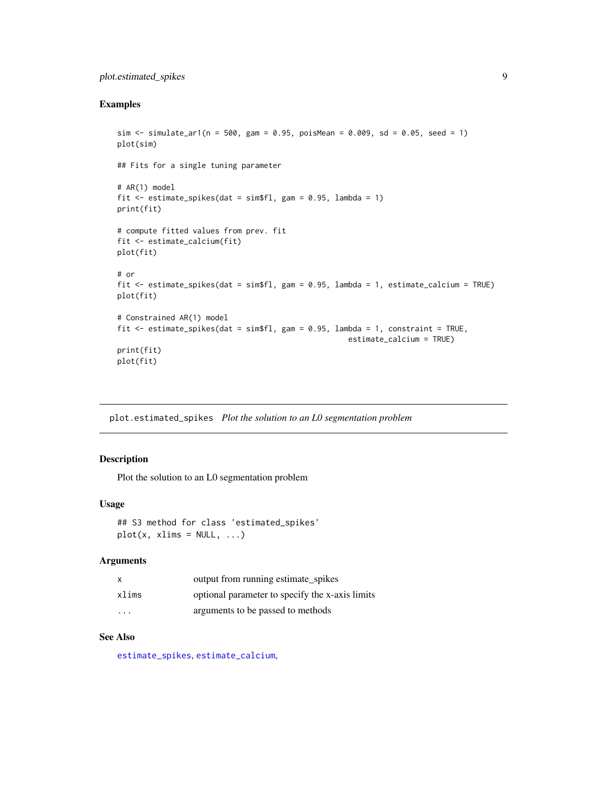## <span id="page-8-0"></span>plot.estimated\_spikes 9

## Examples

```
sim \le simulate_ar1(n = 500, gam = 0.95, poisMean = 0.009, sd = 0.05, seed = 1)
plot(sim)
## Fits for a single tuning parameter
# AR(1) model
fit \le estimate_spikes(dat = sim$fl, gam = 0.95, lambda = 1)
print(fit)
# compute fitted values from prev. fit
fit <- estimate_calcium(fit)
plot(fit)
# or
fit <- estimate_spikes(dat = sim$fl, gam = 0.95, lambda = 1, estimate_calcium = TRUE)
plot(fit)
# Constrained AR(1) model
fit <- estimate_spikes(dat = sim$fl, gam = 0.95, lambda = 1, constraint = TRUE,
                                                    estimate_calcium = TRUE)
print(fit)
plot(fit)
```
plot.estimated\_spikes *Plot the solution to an L0 segmentation problem*

## Description

Plot the solution to an L0 segmentation problem

#### Usage

## S3 method for class 'estimated\_spikes'  $plot(x, xlims = NULL, ...)$ 

#### Arguments

| x       | output from running estimate spikes             |
|---------|-------------------------------------------------|
| xlims   | optional parameter to specify the x-axis limits |
| $\cdot$ | arguments to be passed to methods               |

## See Also

[estimate\\_spikes](#page-2-1), [estimate\\_calcium](#page-1-1),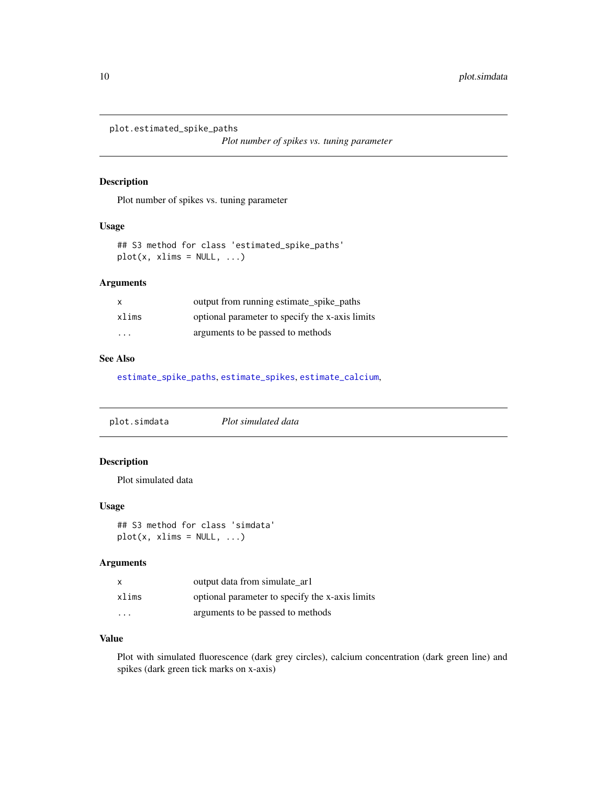<span id="page-9-0"></span>plot.estimated\_spike\_paths

*Plot number of spikes vs. tuning parameter*

#### Description

Plot number of spikes vs. tuning parameter

#### Usage

## S3 method for class 'estimated\_spike\_paths'  $plot(x, xlims = NULL, ...)$ 

## Arguments

| $\mathbf{x}$ | output from running estimate_spike_paths        |
|--------------|-------------------------------------------------|
| xlims        | optional parameter to specify the x-axis limits |
| .            | arguments to be passed to methods               |

## See Also

[estimate\\_spike\\_paths](#page-4-1), [estimate\\_spikes](#page-2-1), [estimate\\_calcium](#page-1-1),

plot.simdata *Plot simulated data*

## Description

Plot simulated data

## Usage

## S3 method for class 'simdata'  $plot(x, xlims = NULL, ...)$ 

#### Arguments

| $\mathsf{x}$            | output data from simulate arl                   |
|-------------------------|-------------------------------------------------|
| xlims                   | optional parameter to specify the x-axis limits |
| $\cdot$ $\cdot$ $\cdot$ | arguments to be passed to methods               |

## Value

Plot with simulated fluorescence (dark grey circles), calcium concentration (dark green line) and spikes (dark green tick marks on x-axis)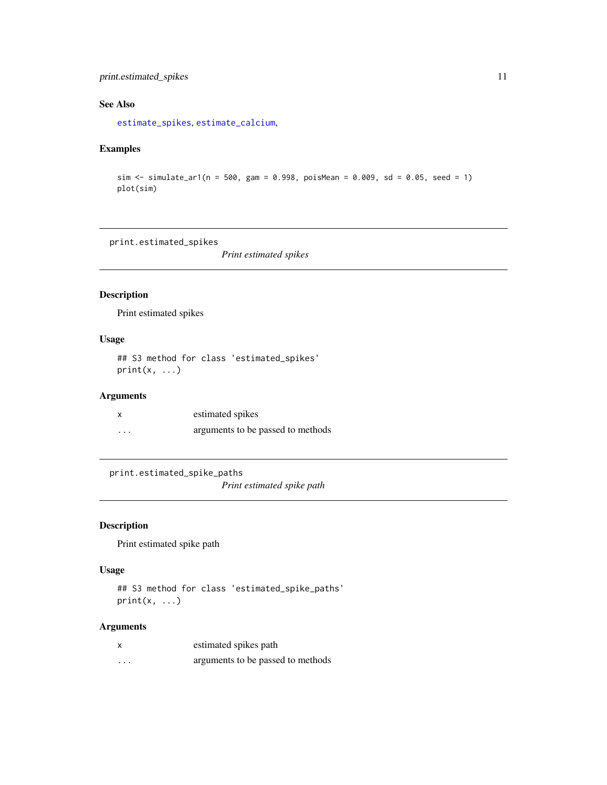## <span id="page-10-0"></span>print.estimated\_spikes 11

## See Also

[estimate\\_spikes](#page-2-1), [estimate\\_calcium](#page-1-1),

## Examples

```
sim <- simulate_ar1(n = 500, gam = 0.998, poisMean = 0.009, sd = 0.05, seed = 1)
plot(sim)
```
print.estimated\_spikes

*Print estimated spikes*

## Description

Print estimated spikes

## Usage

## S3 method for class 'estimated\_spikes'  $print(x, \ldots)$ 

## Arguments

|          | estimated spikes                  |
|----------|-----------------------------------|
| $\cdots$ | arguments to be passed to methods |

print.estimated\_spike\_paths

*Print estimated spike path*

## Description

Print estimated spike path

## Usage

## S3 method for class 'estimated\_spike\_paths'  $print(x, \ldots)$ 

## Arguments

|   | estimated spikes path             |
|---|-----------------------------------|
| . | arguments to be passed to methods |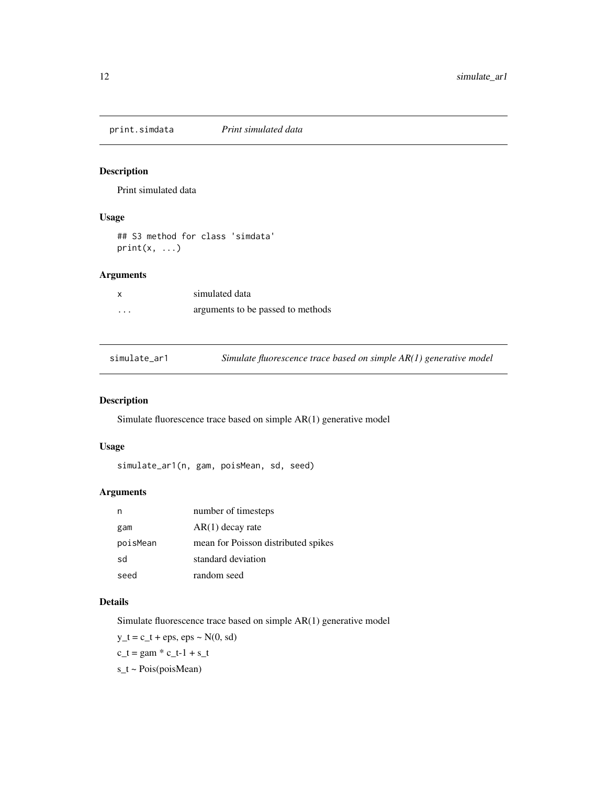<span id="page-11-0"></span>print.simdata *Print simulated data*

## Description

Print simulated data

## Usage

## S3 method for class 'simdata'  $print(x, \ldots)$ 

## Arguments

|          | simulated data                    |
|----------|-----------------------------------|
| $\cdots$ | arguments to be passed to methods |

<span id="page-11-1"></span>simulate\_ar1 *Simulate fluorescence trace based on simple AR(1) generative model*

## Description

Simulate fluorescence trace based on simple AR(1) generative model

## Usage

simulate\_ar1(n, gam, poisMean, sd, seed)

#### Arguments

| n        | number of timesteps                 |
|----------|-------------------------------------|
| gam      | $AR(1)$ decay rate                  |
| poisMean | mean for Poisson distributed spikes |
| sd       | standard deviation                  |
| seed     | random seed                         |

### Details

Simulate fluorescence trace based on simple AR(1) generative model

 $y_t = c_t + eps$ ,  $eps \sim N(0, sd)$ 

$$
c_t = \text{gam} * c_t - 1 + s_t
$$

s\_t ~ Pois(poisMean)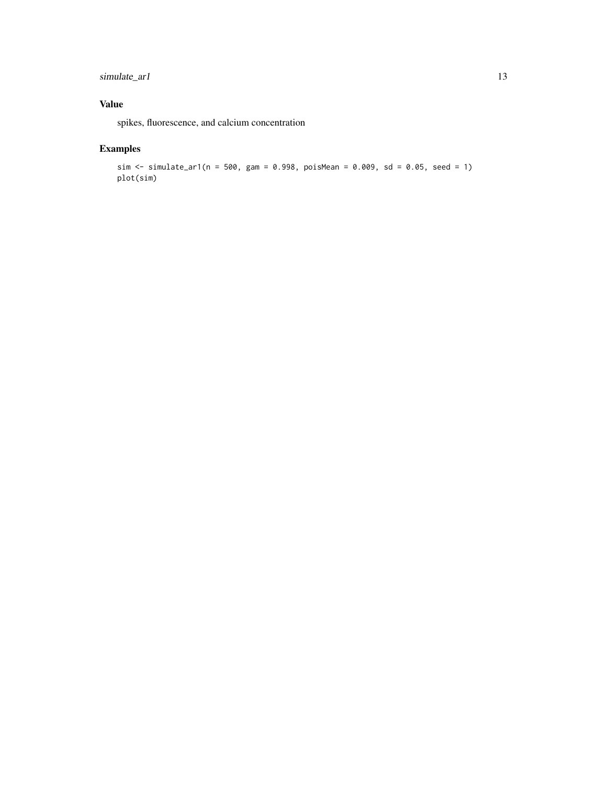simulate\_ar1 13

## Value

spikes, fluorescence, and calcium concentration

## Examples

```
sim <- simulate_ar1(n = 500, gam = 0.998, poisMean = 0.009, sd = 0.05, seed = 1)
plot(sim)
```